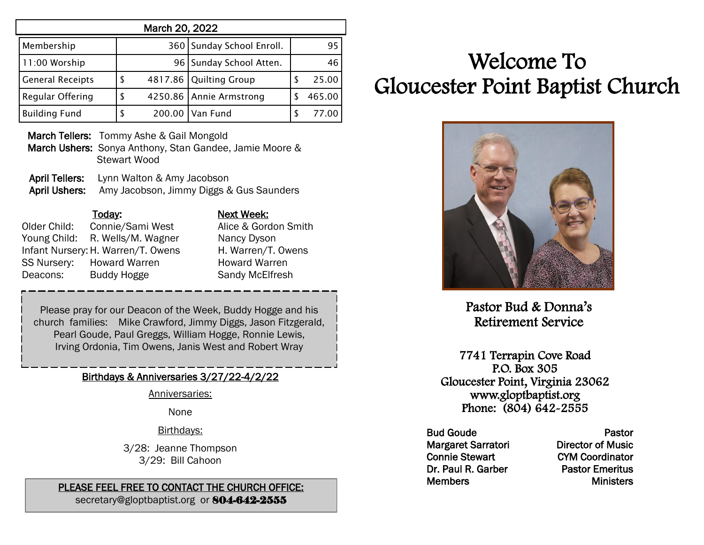| March 20, 2022          |    |  |                           |   |        |  |  |
|-------------------------|----|--|---------------------------|---|--------|--|--|
| Membership              |    |  | 360 Sunday School Enroll. |   | 95     |  |  |
| 11:00 Worship           |    |  | 96 Sunday School Atten.   |   | 46     |  |  |
| <b>General Receipts</b> | S  |  | 4817.86 Quilting Group    | S | 25.00  |  |  |
| Regular Offering        | S  |  | 4250.86 Annie Armstrong   |   | 465.00 |  |  |
| <b>Building Fund</b>    | \$ |  | 200.00   Van Fund         | S | 77.00  |  |  |

March Tellers: Tommy Ashe & Gail Mongold

- March Ushers: Sonya Anthony, Stan Gandee, Jamie Moore & Stewart Wood
- April Tellers: Lynn Walton & Amy Jacobson April Ushers: Amy Jacobson, Jimmy Diggs & Gus Saunders

| Today:             | Next Week:                                                                       |
|--------------------|----------------------------------------------------------------------------------|
| Connie/Sami West   | Alice & Gordon Smith                                                             |
|                    | Nancy Dyson                                                                      |
|                    | H. Warren/T. Owens                                                               |
|                    | <b>Howard Warren</b>                                                             |
| <b>Buddy Hogge</b> | Sandy McElfresh                                                                  |
|                    | R. Wells/M. Wagner<br>Infant Nursery: H. Warren/T. Owens<br><b>Howard Warren</b> |

Please pray for our Deacon of the Week, Buddy Hogge and his church families: Mike Crawford, Jimmy Diggs, Jason Fitzgerald, Pearl Goude, Paul Greggs, William Hogge, Ronnie Lewis, Irving Ordonia, Tim Owens, Janis West and Robert Wray

## Birthdays & Anniversaries 3/27/22-4/2/22

Anniversaries:

None

Birthdays:

3/28: Jeanne Thompson 3/29: Bill Cahoon

## PLEASE FEEL FREE TO CONTACT THE CHURCH OFFICE:

secretary@gloptbaptist.org or 804-642-2555

# Welcome To Gloucester Point Baptist Church



Pastor Bud & Donna's Retirement Service

7741 Terrapin Cove Road P.O. Box 305 Gloucester Point, Virginia 23062 www.gloptbaptist.org Phone: (804) 642-2555

Bud Goude Margaret Sarratori Connie Stewart Dr. Paul R. Garber **Members** 

Pastor Director of Music CYM Coordinator Pastor Emeritus **Ministers**